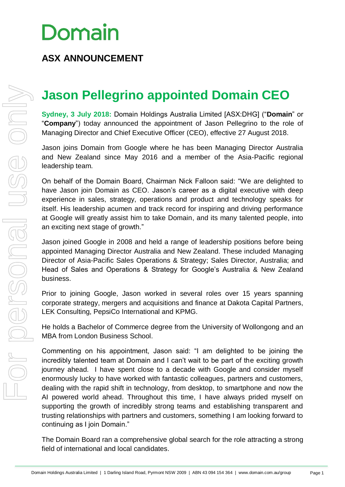### **ASX ANNOUNCEMENT**

### **Jason Pellegrino appointed Domain CEO**

**Sydney, 3 July 2018:** Domain Holdings Australia Limited [ASX:DHG] ("**Domain**" or "**Company**") today announced the appointment of Jason Pellegrino to the role of Managing Director and Chief Executive Officer (CEO), effective 27 August 2018.

Jason joins Domain from Google where he has been Managing Director Australia and New Zealand since May 2016 and a member of the Asia-Pacific regional leadership team.

On behalf of the Domain Board, Chairman Nick Falloon said: "We are delighted to have Jason join Domain as CEO. Jason's career as a digital executive with deep experience in sales, strategy, operations and product and technology speaks for itself. His leadership acumen and track record for inspiring and driving performance at Google will greatly assist him to take Domain, and its many talented people, into an exciting next stage of growth."

Jason joined Google in 2008 and held a range of leadership positions before being appointed Managing Director Australia and New Zealand. These included Managing Director of Asia-Pacific Sales Operations & Strategy; Sales Director, Australia; and Head of Sales and Operations & Strategy for Google's Australia & New Zealand business.

Prior to joining Google, Jason worked in several roles over 15 years spanning corporate strategy, mergers and acquisitions and finance at Dakota Capital Partners, LEK Consulting, PepsiCo International and KPMG.

He holds a Bachelor of Commerce degree from the University of Wollongong and an MBA from London Business School.

Commenting on his appointment, Jason said: "I am delighted to be joining the incredibly talented team at Domain and I can't wait to be part of the exciting growth journey ahead. I have spent close to a decade with Google and consider myself enormously lucky to have worked with fantastic colleagues, partners and customers, dealing with the rapid shift in technology, from desktop, to smartphone and now the AI powered world ahead. Throughout this time, I have always prided myself on supporting the growth of incredibly strong teams and establishing transparent and trusting relationships with partners and customers, something I am looking forward to continuing as I join Domain."

The Domain Board ran a comprehensive global search for the role attracting a strong field of international and local candidates.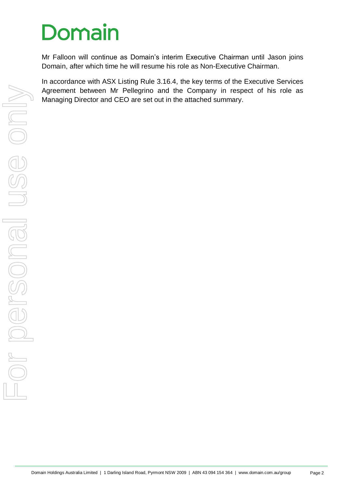Mr Falloon will continue as Domain's interim Executive Chairman until Jason joins Domain, after which time he will resume his role as Non-Executive Chairman.

In accordance with ASX Listing Rule 3.16.4, the key terms of the Executive Services Agreement between Mr Pellegrino and the Company in respect of his role as Managing Director and CEO are set out in the attached summary.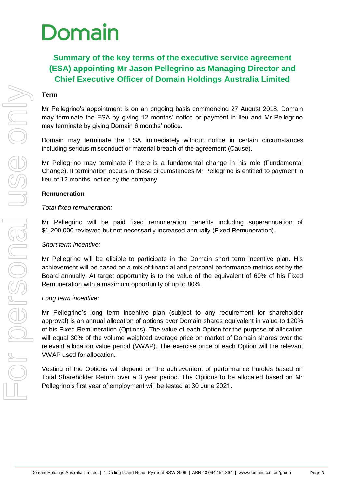### **Summary of the key terms of the executive service agreement (ESA) appointing Mr Jason Pellegrino as Managing Director and Chief Executive Officer of Domain Holdings Australia Limited**

#### **Term**

Mr Pellegrino's appointment is on an ongoing basis commencing 27 August 2018. Domain may terminate the ESA by giving 12 months' notice or payment in lieu and Mr Pellegrino may terminate by giving Domain 6 months' notice.

Domain may terminate the ESA immediately without notice in certain circumstances including serious misconduct or material breach of the agreement (Cause).

Mr Pellegrino may terminate if there is a fundamental change in his role (Fundamental Change). If termination occurs in these circumstances Mr Pellegrino is entitled to payment in lieu of 12 months' notice by the company.

#### **Remuneration**

#### *Total fixed remuneration:*

Mr Pellegrino will be paid fixed remuneration benefits including superannuation of \$1,200,000 reviewed but not necessarily increased annually (Fixed Remuneration).

#### *Short term incentive:*

Mr Pellegrino will be eligible to participate in the Domain short term incentive plan. His achievement will be based on a mix of financial and personal performance metrics set by the Board annually. At target opportunity is to the value of the equivalent of 60% of his Fixed Remuneration with a maximum opportunity of up to 80%.

#### *Long term incentive:*

Mr Pellegrino's long term incentive plan (subject to any requirement for shareholder approval) is an annual allocation of options over Domain shares equivalent in value to 120% of his Fixed Remuneration (Options). The value of each Option for the purpose of allocation will equal 30% of the volume weighted average price on market of Domain shares over the relevant allocation value period (VWAP). The exercise price of each Option will the relevant VWAP used for allocation.

Vesting of the Options will depend on the achievement of performance hurdles based on Total Shareholder Return over a 3 year period. The Options to be allocated based on Mr Pellegrino's first year of employment will be tested at 30 June 2021.